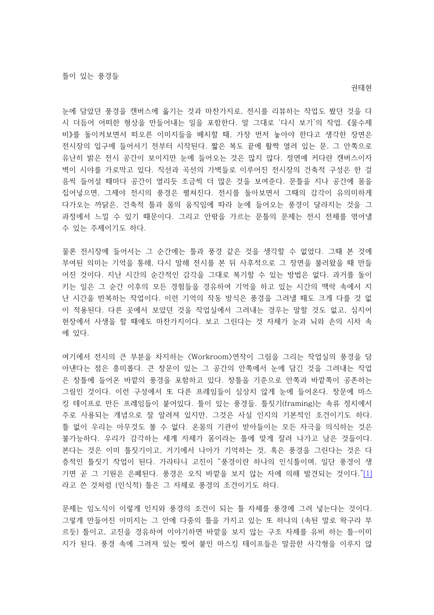눈에 담았던 풍경을 캔버스에 옮기는 것과 마찬가지로, 전시를 리뷰하는 작업도 봤던 것을 다 시 더듬어 어떠한 형상을 만들어내는 일을 포함한다. 말 그대로 '다시 보기'의 작업. 《물수제 비》를 돌이켜보면서 떠오른 이미지들을 배치할 때, 가장 먼저 놓아야 한다고 생각한 장면은 전시장의 입구에 들어서기 전부터 시작된다. 짧은 복도 끝에 활짝 열려 있는 문, 그 안쪽으로 유난히 밝은 전시 공간이 보이지만 눈에 들어오는 것은 많지 않다. 정면에 커다란 캔버스이자 벽이 시야를 가로막고 있다. 직선과 곡선의 가벽들로 이루어진 전시장의 건축적 구성은 한 걸 음씩 들어설 때마다 공간이 열리듯 조금씩 더 많은 것을 보여준다. 문틀을 지나 공간에 몸을 집어넣으면, 그제야 전시의 풍경은 펼쳐진다. 전시를 돌아보면서 그때의 감각이 유의미하게 다가오는 까닭은 건축적 , 틀과 몸의 움직임에 따라 눈에 들어오는 풍경이 달라지는 것을 그 과정에서 느낄 수 있기 때문이다. 그리고 안팎을 가르는 문틀의 문제는 전시 전체를 엮어낼 수 있는 주제이기도 하다.

물론 전시장에 들어서는 그 순간에는 틀과 풍경 같은 것을 생각할 수 없었다. 그때 본 것에 부여된 의미는 기억을 통해, 다시 말해 전시를 본 뒤 사후적으로 그 장면을 불러왔을 때 만들 어진 것이다. 지난 시간의 순간적인 감각을 그대로 복기할 수 있는 방법은 없다. 과거를 돌이 키는 일은 그 순간 이후의 모든 경험들을 경유하여 기억을 하고 있는 시간의 맥락 속에서 지 난 시간을 반복하는 작업이다. 이런 기억의 작동 방식은 풍경을 그려낼 때도 크게 다를 것 없 이 적용된다. 다른 곳에서 보았던 것을 작업실에서 그려내는 경우는 말할 것도 없고, 심지어 현장에서 사생을 할 때에도 마찬가지이다. 보고 그린다는 것 자체가 눈과 뇌와 손의 시차 속 에 있다.

여기에서 전시의 큰 부분을 차지하는 〈 Workroom〉연작이 그림을 그리는 작업실의 풍경을 담 아낸다는 점은 흥미롭다. 큰 창문이 있는 그 공간의 안쪽에서 눈에 담긴 것을 그려내는 작업 은 창틀에 들어온 바깥의 풍경을 포함하고 있다. 창틀을 기주으로 안쪽과 바깥쪽이 공존하는 그림인 것이다. 이런 구성에서 또 다른 프레임들이 심상치 않게 눈에 들어온다. 창문에 마스 킹 테이프로 만든 프레임들이 붙어있다. 틀이 있는 풍경들. 틀짓기(framing)는 속류 정치에서 주로 사용되는 개념으로 잘 알려져 있지만, 그것은 사실 인지의 기본적인 조건이기도 하다. 틀 없이 우리는 아무것도 볼 수 없다. 온몸의 기관이 받아들이는 모든 자극을 의식하는 것은 . 불가능하다. 우리가 감각하는 세계 자체가 몸이라는 틀에 맞게 잘려 나가고 남은 것들이다. 본다는 것은 이미 틀짓기이고, 거기에서 나아가 기억하는 것, 혹은 풍경을 그린다는 것은 다 층적인 틀짓기 작업이 된다. 가라타니 고진이 "풍경이란 하나의 인식틀이며, 일단 풍경이 생 기면 곧 그 기원은 은폐된다. 풍경은 오직 바깥을 보지 않는 자에 의해 발견되는 것이다."[1] 라고 쓴 것처럼 (인식적) 틀은 그 자체로 풍경의 조건이기도 하다.

문제는 임노식이 이렇게 인지와 풍경의 조건이 되는 틀 자체를 풍경에 그려 넣는다는 것이다. 그렇게 만들어진 이미지는 그 안에 다중의 틀을 가지고 있는 또 하나의 (속된 말로 왁구라 부 르듯) 틀이고, 고진을 경유하여 이야기하면 바깥을 보지 않는 구조 자체를 유비 하는 틀-이미 지가 된다. 풍경 속에 그려져 있는 찢어 붙인 마스킹 테이프들은 말끔한 사각형을 이루지 않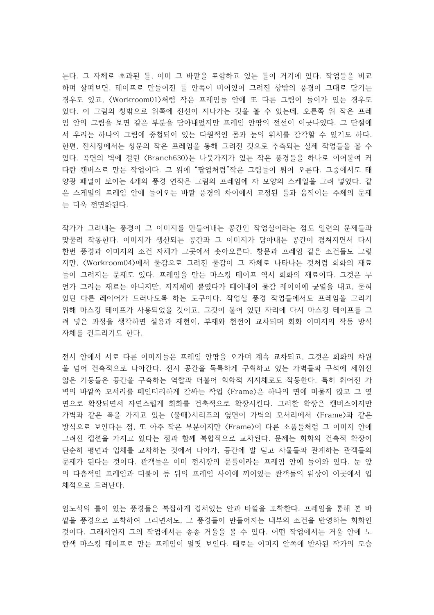는다. 그 자체로 초과된 틀, 이미 그 바깥을 포함하고 있는 틀이 거기에 있다. 작업들을 비교 하며 살펴보면, 테이프로 만들어진 틀 안쪽이 비어있어 그려진 창밖의 풍경이 그대로 담기는 경우도 있고, 〈Workroom01〉처럼 작은 프레임들 안에 또 다른 그림이 들어가 있는 경우도 있다. 이 그림의 창밖으로 위쪽에 전선이 지나가는 것을 볼 수 있는데, 오른쪽 위 작은 프레 임 안의 그림을 보면 같은 부분을 담아내었지만 프레임 안팎의 전선이 어긋나있다. 그 단절에 서 우리는 하나의 그림에 중첩되어 있는 다원적인 몸과 눈의 위치를 감각할 수 있기도 하다. 한편, 전시장에서는 창문의 작은 프레임을 통해 그려진 것으로 추측되는 실제 작업들을 볼 수 있다. 곡면의 벽에 걸린 〈Branch630〉는 나뭇가지가 있는 작은 풍경들을 하나로 이어붙여 커 다란 캔버스로 만든 작업이다. 그 위에 "팝업처럼"작은 그림들이 튀어 오른다. 그중에서도 태 양광 패널이 보이는 4개의 풍경 연작은 그림의 프레임에 자 모양의 스케일을 그려 넣었다. 같 은 스케일의 프레임 안에 들어오는 바깥 풍경의 차이에서 고정된 틀과 움직이는 주체의 문제 는 더욱 전면화된다.

작가가 그려내는 풍경이 그 이미지를 만들어내는 공간인 작업실이라는 점도 일련의 문제들과 맞물려 작동한다. 이미지가 생산되는 공간과 그 이미지가 담아내는 공간이 겹쳐지면서 다시 한번 풍경과 이미지의 조건 자체가 그곳에서 솟아오른다. 창문과 프레임 같은 조건들도 그렇 지만, <Workroom04>에서 물감으로 그려진 물감이 그 자체로 나타나는 것처럼 회화의 재료 들이 그려지는 문제도 있다. 프레임을 만든 마스킹 테이프 역시 회화의 재료이다. 그것은 무 언가 그리는 재료는 아니지만, 지지체에 붙였다가 떼어내어 물감 레이어에 균열을 내고, 묻혀 있던 다른 레이어가 드러나도록 하는 도구이다. 작업실 풍경 작업들에서도 프레임을 그리기 위해 마스킹 테이프가 사용되었을 것이고, 그것이 붙어 있던 자리에 다시 마스킹 테이프를 그 려 넣은 과정을 생각하면 실용과 재현이, 부재와 현전이 교차되며 회화 이미지의 작동 방식 자체를 건드리기도 한다.

전시 안에서 서로 다른 이미지들은 프레임 안팎을 오가며 계속 교차되고, 그것은 회화의 차원 을 넘어 건축적으로 나아간다. 전시 공간을 독특하게 구획하고 있는 가벽들과 구석에 세워진 얇은 기둥들은 공간을 구축하는 역할과 더불어 회화적 지지체로도 작동한다. 특히 휘어진 가 벽의 바깥쪽 모서리를 페인터리하게 감싸는 작업 〈Frame〉은 하나의 면에 머물지 않고 그 옆 면으로 확장되면서 자연스럽게 회화를 건축적으로 확장시킨다. 그러한 확장은 캔버스이지만 가벽과 같은 폭을 가지고 있는 〈물때〉시리즈의 옆면이 가벽의 모서리에서 〈Frame〉과 같은 방식으로 보인다는 점, 또 아주 작은 부분이지만 〈Frame〉이 다른 소품들처럼 그 이미지 안에 그려진 캡션을 가지고 있다는 점과 함께 복합적으로 교차된다. 문제는 회화의 건축적 확장이 단순히 평면과 입체를 교차하는 것에서 나아가, 공간에 발 딛고 사물들과 관계하는 관객들의 문제가 된다는 것이다. 관객들은 이미 전시장의 문틀이라는 프레임 안에 들어와 있다. 눈 앞 의 다층적인 프레임과 더불어 등 뒤의 프레임 사이에 끼어있는 관객들의 위상이 이곳에서 입 체적으로 드러난다.

임노식의 틀이 있는 풍경들은 복잡하게 겹쳐있는 안과 바깥을 포착한다. 프레임을 통해 본 바 깥을 풍경으로 포착하여 그리면서도, 그 풍경들이 만들어지는 내부의 조건을 반영하는 회화인 것이다. 그래서인지 그의 작업에서는 종종 거울을 볼 수 있다. 어떤 작업에서는 거울 안에 노 란색 마스킹 테이프로 만든 프레임이 얼핏 보인다. 때로는 이미지 안쪽에 반사된 작가의 모습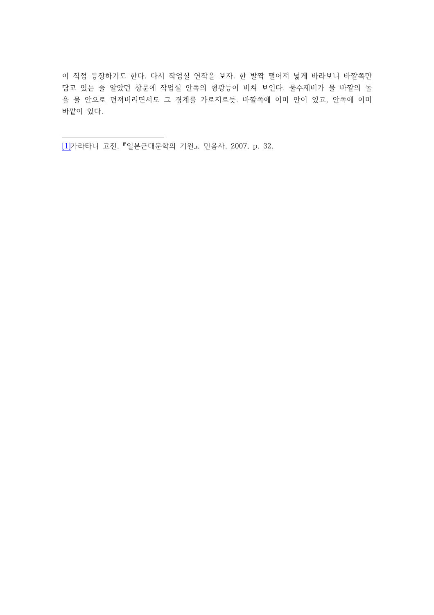이 직접 등장하기도 한다. 다시 작업실 연작을 보자. 한 발짝 떨어져 넓게 바라보니 바깥쪽만 담고 있는 줄 알았던 창문에 작업실 안쪽의 형광등이 비쳐 보인다. 물수제비가 물 바깥의 돌 을 물 안으로 던져버리면서도 그 경계를 가로지르듯. 바깥쪽에 이미 안이 있고, 안쪽에 이미 바깥이 있다.

 $1$ 기라타니 고진, 『일본근대문학의 기원』, 민음사, 2007, p. 32.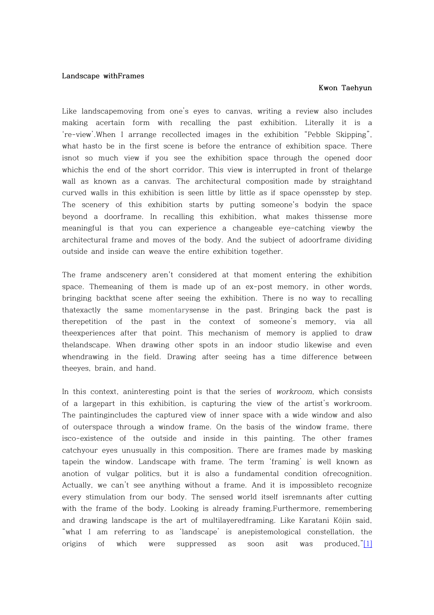## **Landscape withFrames**

## **Kwon Taehyun**

Like landscapemoving from one's eyes to canvas, writing a review also includes making acertain form with recalling the past exhibition. Literally it is a 're-view'.When I arrange recollected images in the exhibition "Pebble Skipping", what hasto be in the first scene is before the entrance of exhibition space. There isnot so much view if you see the exhibition space through the opened door whichis the end of the short corridor. This view is interrupted in front of thelarge wall as known as a canvas. The architectural composition made by straightand curved walls in this exhibition is seen little by little as if space opensstep by step. The scenery of this exhibition starts by putting someone's bodyin the space beyond a doorframe. In recalling this exhibition, what makes thissense more meaningful is that you can experience a changeable eye-catching viewby the architectural frame and moves of the body. And the subject of adoorframe dividing outside and inside can weave the entire exhibition together.

The frame andscenery aren't considered at that moment entering the exhibition space. Themeaning of them is made up of an ex-post memory, in other words, bringing backthat scene after seeing the exhibition. There is no way to recalling thatexactly the same momentarysense in the past. Bringing back the past is therepetition of the past in the context of someone's memory, via all theexperiences after that point. This mechanism of memory is applied to draw thelandscape. When drawing other spots in an indoor studio likewise and even whendrawing in the field. Drawing after seeing has a time difference between theeyes, brain, and hand.

In this context, aninteresting point is that the series of workroom, which consists of a largepart in this exhibition, is capturing the view of the artist's workroom. The paintingincludes the captured view of inner space with a wide window and also of outerspace through a window frame. On the basis of the window frame, there isco-existence of the outside and inside in this painting. The other frames catchyour eyes unusually in this composition. There are frames made by masking tapein the window. Landscape with frame. The term 'framing' is well known as anotion of vulgar politics, but it is also a fundamental condition ofrecognition. Actually, we can't see anything without a frame. And it is impossibleto recognize every stimulation from our body. The sensed world itself isremnants after cutting with the frame of the body. Looking is already framing.Furthermore, remembering and drawing landscape is the art of multilayeredframing. Like Karatani Kōjin said, "what I am referring to as 'landscape' is anepistemological constellation, the origins of which were suppressed as soon asit was produced,"[1]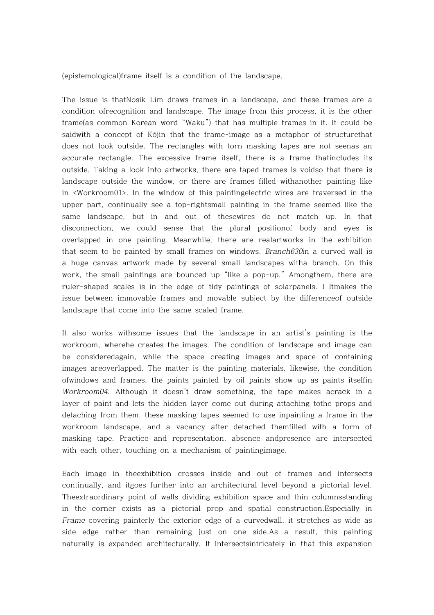(epistemological)frame itself is a condition of the landscape.

The issue is thatNosik Lim draws frames in a landscape, and these frames are a condition ofrecognition and landscape. The image from this process, it is the other frame(as common Korean word "Waku") that has multiple frames in it. It could be saidwith a concept of Kōjin that the frame-image as a metaphor of structurethat does not look outside. The rectangles with torn masking tapes are not seenas an accurate rectangle. The excessive frame itself, there is a frame thatincludes its outside. Taking a look into artworks, there are taped frames is voidso that there is landscape outside the window, or there are frames filled withanother painting like in <Workroom01>. In the window of this paintingelectric wires are traversed in the upper part, continually see a top-rightsmall painting in the frame seemed like the same landscape, but in and out of thesewires do not match up. In that disconnection, we could sense that the plural positionof body and eyes is overlapped in one painting. Meanwhile, there are realartworks in the exhibition that seem to be painted by small frames on windows. Branch630in a curved wall is a huge canvas artwork made by several small landscapes witha branch. On this work, the small paintings are bounced up "like a pop-up." Amongthem, there are ruler-shaped scales is in the edge of tidy paintings of solarpanels. I Itmakes the issue between immovable frames and movable subject by the differenceof outside landscape that come into the same scaled frame.

It also works withsome issues that the landscape in an artist's painting is the workroom, wherehe creates the images. The condition of landscape and image can be consideredagain, while the space creating images and space of containing images areoverlapped. The matter is the painting materials, likewise, the condition ofwindows and frames, the paints painted by oil paints show up as paints itselfin Workroom04. Although it doesn't draw something, the tape makes acrack in a layer of paint and lets the hidden layer come out during attaching tothe props and detaching from them. these masking tapes seemed to use inpainting a frame in the workroom landscape, and a vacancy after detached themfilled with a form of masking tape. Practice and representation, absence andpresence are intersected with each other, touching on a mechanism of paintingimage.

Each image in theexhibition crosses inside and out of frames and intersects continually, and itgoes further into an architectural level beyond a pictorial level. Theextraordinary point of walls dividing exhibition space and thin columnsstanding in the corner exists as a pictorial prop and spatial construction.Especially in Frame covering painterly the exterior edge of a curvedwall, it stretches as wide as side edge rather than remaining just on one side.As a result, this painting naturally is expanded architecturally. It intersectsintricately in that this expansion